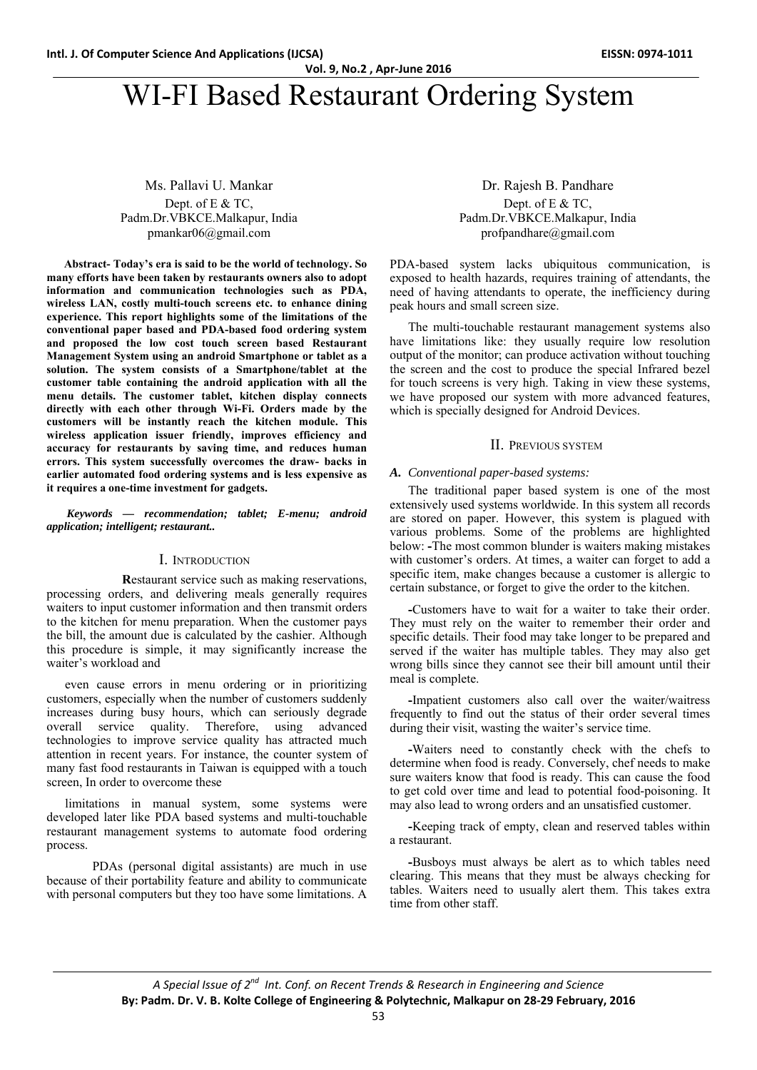# WI-FI Based Restaurant Ordering System

# Ms. Pallavi U. Mankar Dept. of E & TC. Padm.Dr.VBKCE.Malkapur, India pmankar06@gmail.com

**Abstract- Today's era is said to be the world of technology. So many efforts have been taken by restaurants owners also to adopt information and communication technologies such as PDA, wireless LAN, costly multi-touch screens etc. to enhance dining experience. This report highlights some of the limitations of the conventional paper based and PDA-based food ordering system and proposed the low cost touch screen based Restaurant Management System using an android Smartphone or tablet as a solution. The system consists of a Smartphone/tablet at the customer table containing the android application with all the menu details. The customer tablet, kitchen display connects directly with each other through Wi-Fi. Orders made by the customers will be instantly reach the kitchen module. This wireless application issuer friendly, improves efficiency and accuracy for restaurants by saving time, and reduces human errors. This system successfully overcomes the draw- backs in earlier automated food ordering systems and is less expensive as it requires a one-time investment for gadgets.** 

 *Keywords — recommendation; tablet; E-menu; android application; intelligent; restaurant..* 

#### I. INTRODUCTION

 **R**estaurant service such as making reservations, processing orders, and delivering meals generally requires waiters to input customer information and then transmit orders to the kitchen for menu preparation. When the customer pays the bill, the amount due is calculated by the cashier. Although this procedure is simple, it may significantly increase the waiter's workload and

even cause errors in menu ordering or in prioritizing customers, especially when the number of customers suddenly increases during busy hours, which can seriously degrade overall service quality. Therefore, using advanced technologies to improve service quality has attracted much attention in recent years. For instance, the counter system of many fast food restaurants in Taiwan is equipped with a touch screen, In order to overcome these

limitations in manual system, some systems were developed later like PDA based systems and multi-touchable restaurant management systems to automate food ordering process.

 PDAs (personal digital assistants) are much in use because of their portability feature and ability to communicate with personal computers but they too have some limitations. A

Dr. Rajesh B. Pandhare Dept. of E & TC. Padm.Dr.VBKCE.Malkapur, India profpandhare@gmail.com

PDA-based system lacks ubiquitous communication, is exposed to health hazards, requires training of attendants, the need of having attendants to operate, the inefficiency during peak hours and small screen size.

The multi-touchable restaurant management systems also have limitations like: they usually require low resolution output of the monitor; can produce activation without touching the screen and the cost to produce the special Infrared bezel for touch screens is very high. Taking in view these systems, we have proposed our system with more advanced features, which is specially designed for Android Devices.

#### II. PREVIOUS SYSTEM

#### *A. Conventional paper-based systems:*

The traditional paper based system is one of the most extensively used systems worldwide. In this system all records are stored on paper. However, this system is plagued with various problems. Some of the problems are highlighted below: **-**The most common blunder is waiters making mistakes with customer's orders. At times, a waiter can forget to add a specific item, make changes because a customer is allergic to certain substance, or forget to give the order to the kitchen.

**-**Customers have to wait for a waiter to take their order. They must rely on the waiter to remember their order and specific details. Their food may take longer to be prepared and served if the waiter has multiple tables. They may also get wrong bills since they cannot see their bill amount until their meal is complete.

**-**Impatient customers also call over the waiter/waitress frequently to find out the status of their order several times during their visit, wasting the waiter's service time.

**-**Waiters need to constantly check with the chefs to determine when food is ready. Conversely, chef needs to make sure waiters know that food is ready. This can cause the food to get cold over time and lead to potential food-poisoning. It may also lead to wrong orders and an unsatisfied customer.

**-**Keeping track of empty, clean and reserved tables within a restaurant.

**-**Busboys must always be alert as to which tables need clearing. This means that they must be always checking for tables. Waiters need to usually alert them. This takes extra time from other staff.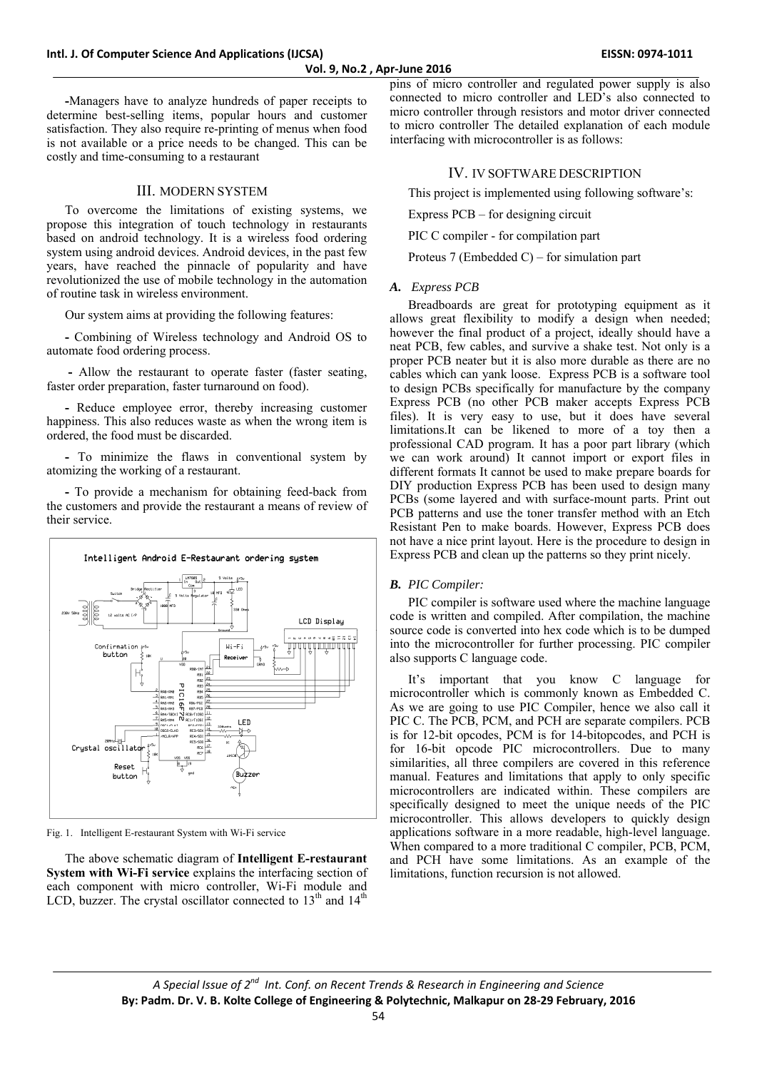**-**Managers have to analyze hundreds of paper receipts to determine best-selling items, popular hours and customer satisfaction. They also require re-printing of menus when food is not available or a price needs to be changed. This can be costly and time-consuming to a restaurant

# III. MODERN SYSTEM

To overcome the limitations of existing systems, we propose this integration of touch technology in restaurants based on android technology. It is a wireless food ordering system using android devices. Android devices, in the past few years, have reached the pinnacle of popularity and have revolutionized the use of mobile technology in the automation of routine task in wireless environment.

Our system aims at providing the following features:

**-** Combining of Wireless technology and Android OS to automate food ordering process.

**-** Allow the restaurant to operate faster (faster seating, faster order preparation, faster turnaround on food).

**-** Reduce employee error, thereby increasing customer happiness. This also reduces waste as when the wrong item is ordered, the food must be discarded.

**-** To minimize the flaws in conventional system by atomizing the working of a restaurant.

**-** To provide a mechanism for obtaining feed-back from the customers and provide the restaurant a means of review of their service.



Fig. 1. Intelligent E-restaurant System with Wi-Fi service

The above schematic diagram of **Intelligent E-restaurant System with Wi-Fi service** explains the interfacing section of each component with micro controller, Wi-Fi module and LCD, buzzer. The crystal oscillator connected to  $13<sup>th</sup>$  and  $14<sup>th</sup>$ 

pins of micro controller and regulated power supply is also connected to micro controller and LED's also connected to micro controller through resistors and motor driver connected to micro controller The detailed explanation of each module interfacing with microcontroller is as follows:

# IV. IV SOFTWARE DESCRIPTION

This project is implemented using following software's:

Express PCB – for designing circuit

PIC C compiler - for compilation part

Proteus 7 (Embedded C) – for simulation part

# *A. Express PCB*

Breadboards are great for prototyping equipment as it allows great flexibility to modify a design when needed; however the final product of a project, ideally should have a neat PCB, few cables, and survive a shake test. Not only is a proper PCB neater but it is also more durable as there are no cables which can yank loose. Express PCB is a software tool to design PCBs specifically for manufacture by the company Express PCB (no other PCB maker accepts Express PCB files). It is very easy to use, but it does have several limitations.It can be likened to more of a toy then a professional CAD program. It has a poor part library (which we can work around) It cannot import or export files in different formats It cannot be used to make prepare boards for DIY production Express PCB has been used to design many PCBs (some layered and with surface-mount parts. Print out PCB patterns and use the toner transfer method with an Etch Resistant Pen to make boards. However, Express PCB does not have a nice print layout. Here is the procedure to design in Express PCB and clean up the patterns so they print nicely.

# *B. PIC Compiler:*

PIC compiler is software used where the machine language code is written and compiled. After compilation, the machine source code is converted into hex code which is to be dumped into the microcontroller for further processing. PIC compiler also supports C language code.

It's important that you know C language for microcontroller which is commonly known as Embedded C. As we are going to use PIC Compiler, hence we also call it PIC C. The PCB, PCM, and PCH are separate compilers. PCB is for 12-bit opcodes, PCM is for 14-bitopcodes, and PCH is for 16-bit opcode PIC microcontrollers. Due to many similarities, all three compilers are covered in this reference manual. Features and limitations that apply to only specific microcontrollers are indicated within. These compilers are specifically designed to meet the unique needs of the PIC microcontroller. This allows developers to quickly design applications software in a more readable, high-level language. When compared to a more traditional C compiler, PCB, PCM, and PCH have some limitations. As an example of the limitations, function recursion is not allowed.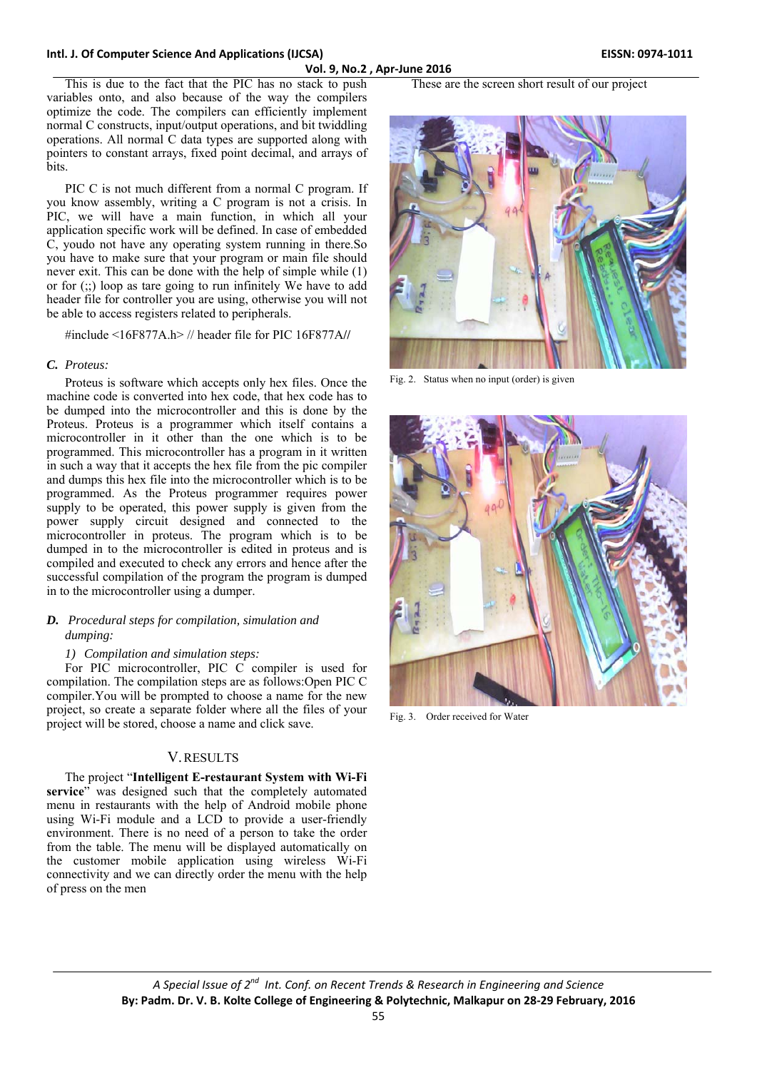#### **Intl. J. Of Computer Science And Applications (IJCSA) EISSN: 0974‐1011**

This is due to the fact that the PIC has no stack to push variables onto, and also because of the way the compilers optimize the code. The compilers can efficiently implement normal C constructs, input/output operations, and bit twiddling operations. All normal C data types are supported along with pointers to constant arrays, fixed point decimal, and arrays of **bits**.

PIC C is not much different from a normal C program. If you know assembly, writing a C program is not a crisis. In PIC, we will have a main function, in which all your application specific work will be defined. In case of embedded C, youdo not have any operating system running in there.So you have to make sure that your program or main file should never exit. This can be done with the help of simple while (1) or for (;;) loop as tare going to run infinitely We have to add header file for controller you are using, otherwise you will not be able to access registers related to peripherals.

#include <16F877A.h> // header file for PIC 16F877A**//** 

#### *C. Proteus:*

Proteus is software which accepts only hex files. Once the machine code is converted into hex code, that hex code has to be dumped into the microcontroller and this is done by the Proteus. Proteus is a programmer which itself contains a microcontroller in it other than the one which is to be programmed. This microcontroller has a program in it written in such a way that it accepts the hex file from the pic compiler and dumps this hex file into the microcontroller which is to be programmed. As the Proteus programmer requires power supply to be operated, this power supply is given from the power supply circuit designed and connected to the microcontroller in proteus. The program which is to be dumped in to the microcontroller is edited in proteus and is compiled and executed to check any errors and hence after the successful compilation of the program the program is dumped in to the microcontroller using a dumper.

## *D. Procedural steps for compilation, simulation and dumping:*

#### *1) Compilation and simulation steps:*

For PIC microcontroller, PIC C compiler is used for compilation. The compilation steps are as follows:Open PIC C compiler.You will be prompted to choose a name for the new project, so create a separate folder where all the files of your project will be stored, choose a name and click save.

# V.RESULTS

The project "**Intelligent E-restaurant System with Wi-Fi service**" was designed such that the completely automated menu in restaurants with the help of Android mobile phone using Wi-Fi module and a LCD to provide a user-friendly environment. There is no need of a person to take the order from the table. The menu will be displayed automatically on the customer mobile application using wireless Wi-Fi connectivity and we can directly order the menu with the help of press on the men

# These are the screen short result of our project



Fig. 2. Status when no input (order) is given



Fig. 3. Order received for Water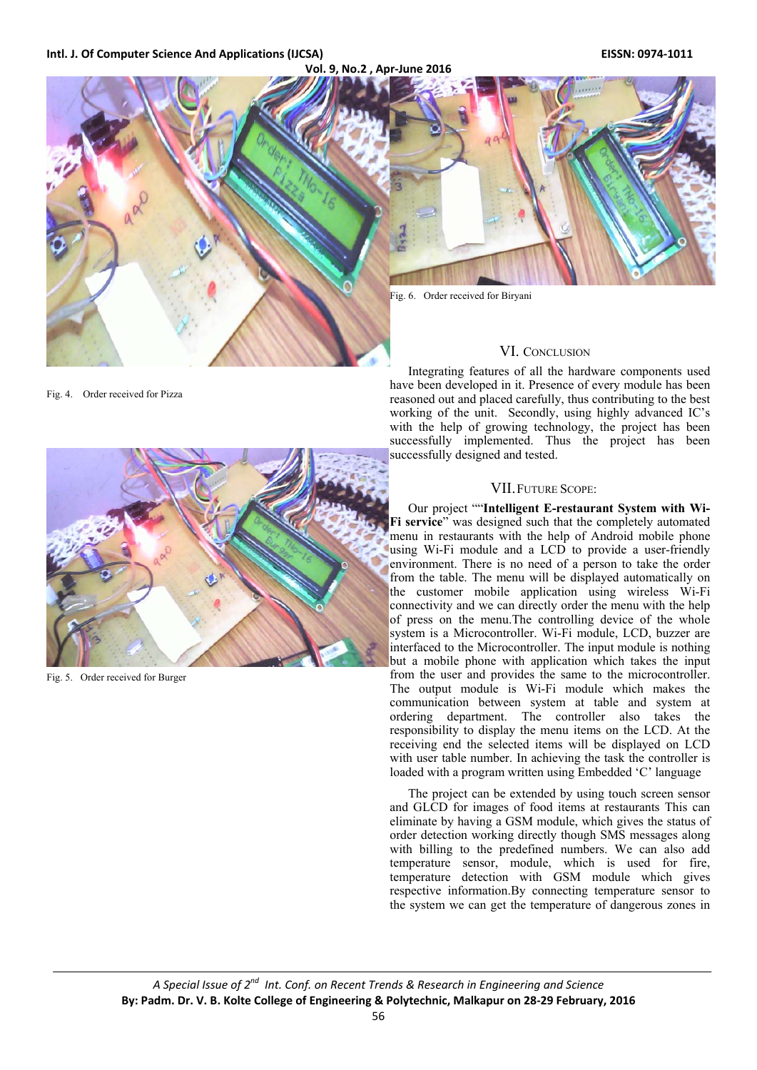#### **Intl. J. Of Computer Science And Applications (IJCSA) EISSN: 0974‐1011**



Fig. 4. Order received for Pizza



Fig. 5. Order received for Burger

Integrating features of all the hardware components used have been developed in it. Presence of every module has been reasoned out and placed carefully, thus contributing to the best working of the unit. Secondly, using highly advanced IC's with the help of growing technology, the project has been successfully implemented. Thus the project has been successfully designed and tested.

#### VII.FUTURE SCOPE:

Our project ""**Intelligent E-restaurant System with Wi-**Fi service" was designed such that the completely automated menu in restaurants with the help of Android mobile phone using Wi-Fi module and a LCD to provide a user-friendly environment. There is no need of a person to take the order from the table. The menu will be displayed automatically on the customer mobile application using wireless Wi-Fi connectivity and we can directly order the menu with the help of press on the menu.The controlling device of the whole system is a Microcontroller. Wi-Fi module, LCD, buzzer are interfaced to the Microcontroller. The input module is nothing but a mobile phone with application which takes the input from the user and provides the same to the microcontroller. The output module is Wi-Fi module which makes the communication between system at table and system at ordering department. The controller also takes the responsibility to display the menu items on the LCD. At the receiving end the selected items will be displayed on LCD with user table number. In achieving the task the controller is loaded with a program written using Embedded 'C' language

The project can be extended by using touch screen sensor and GLCD for images of food items at restaurants This can eliminate by having a GSM module, which gives the status of order detection working directly though SMS messages along with billing to the predefined numbers. We can also add temperature sensor, module, which is used for fire, temperature detection with GSM module which gives respective information.By connecting temperature sensor to the system we can get the temperature of dangerous zones in